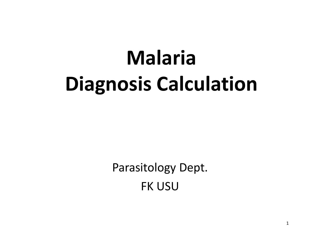# MalariaDiagnosis Calculation

Parasitology Dept.FK USU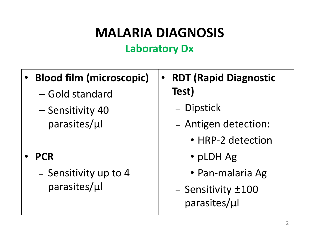### MALARIA DIAGNOSISLaboratory Dx

- • Blood film (microscopic)
	- Gold standard
	- $-$  Sensitivity 40 parasites/μl–

#### •**PCR**

– $\,$  - Sensitivity up to 4  $\,$ parasites/μl

- $\bullet$  RDT (Rapid Diagnostic Test)
	- –– Dipstick
	- Antigen detection:
		- HRP-2 detection
		- pLDH Ag
		- Pan-malaria Ag
	- Sensitivity ±100 parasites/μl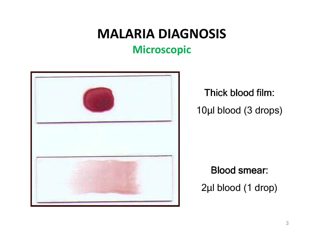## MALARIA DIAGNOSIS

#### Microscopic



Thick blood film: 10µl blood (3 drops)

Blood smear: 2µl blood (1 drop)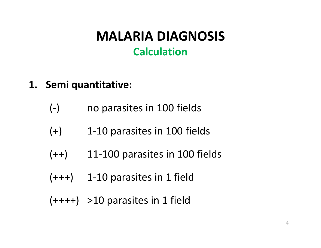- 1. Semi quantitative:
	- (-) no parasites in 100 fields
	- $(+)$ 1-10 parasites in 100 fields
	- $(++)$  11-100 parasites in 100 fields
	- $(+++)$  1-10 parasites in 1 field
	- $(++++)$  >10 parasites in 1 field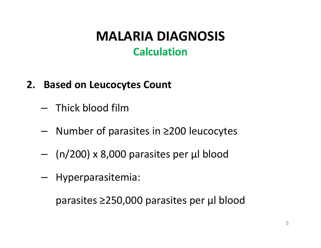#### 2. Based on Leucocytes Count

- – $-$  Thick blood film
- Number of parasites in ≥200 leucocytes –
- –(n/200) x 8,000 parasites per μl blood
- –Hyperparasitemia:

parasites ≥250,000 parasites per μl blood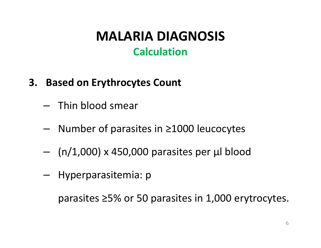- 3. Based on Erythrocytes Count
	- $-$  Thin blood smear
	- –Number of parasites in ≥1000 leucocytes
	- –(n/1,000) x 450,000 parasites per μl blood
	- –Hyperparasitemia: p

parasites ≥5% or 50 parasites in 1,000 erytrocytes.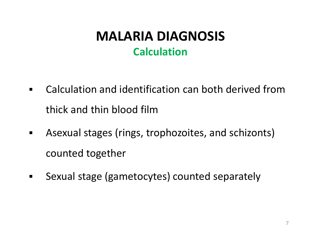- $\blacksquare$  Calculation and identification can both derived from thick and thin blood film
- $\blacksquare$  Asexual stages (rings, trophozoites, and schizonts) counted together
- $\blacksquare$ Sexual stage (gametocytes) counted separately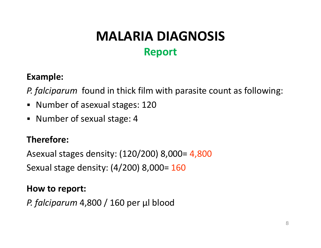### MALARIA DIAGNOSIS Report

#### Example:

P. falciparum found in thick film with parasite count as following:

- Number of asexual stages: 120
- $\blacksquare$ Number of sexual stage: 4

#### Therefore:

Asexual stages density: (120/200) 8,000= 4,800

Sexual stage density: (4/200) 8,000= 160

#### How to report:

P. falciparum 4,800 / 160 per μl blood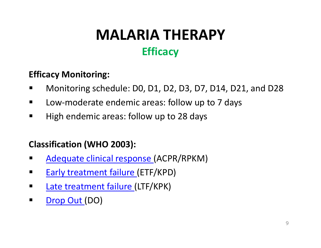### MALARIA THERAPY **Efficacy**

#### Efficacy Monitoring:

- $\blacksquare$ Monitoring schedule: D0, D1, D2, D3, D7, D14, D21, and D28
- $\blacksquare$ Low-moderate endemic areas: follow up to 7 days
- $\blacksquare$ High endemic areas: follow up to 28 days

#### Classification (WHO 2003):

- $\blacksquare$ Adequate clinical response (ACPR/RPKM)
- $\blacksquare$ **Early treatment failure (ETF/KPD)**
- $\blacksquare$ Late treatment failure (LTF/KPK)
- $\blacksquare$ Drop Out (DO)